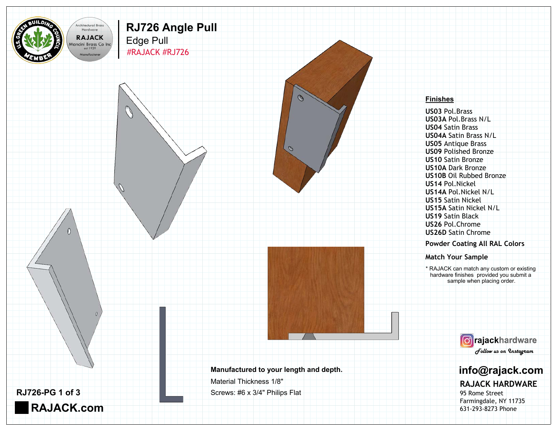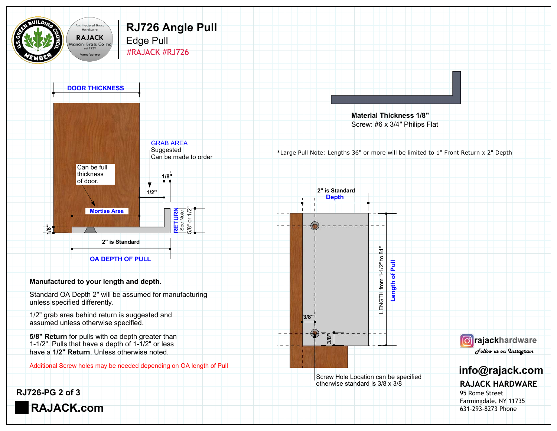